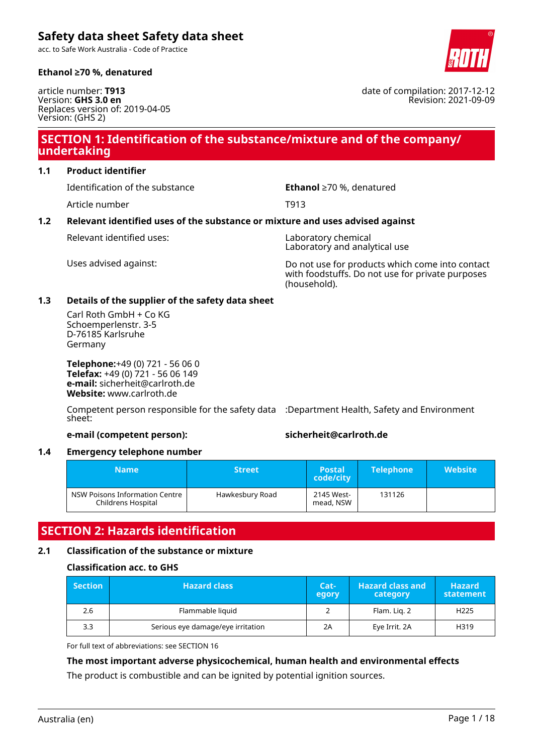acc. to Safe Work Australia - Code of Practice



article number: **T913** Version: **GHS 3.0 en** Replaces version of: 2019-04-05 Version: (GHS 2)

### **SECTION 1: Identification of the substance/mixture and of the company/ undertaking**

#### **1.1 Product identifier**

Identification of the substance **Ethanol** ≥70 %, denatured

Article number T913

#### **1.2 Relevant identified uses of the substance or mixture and uses advised against**

Relevant identified uses: Laboratory chemical

Laboratory and analytical use

Uses advised against: Do not use for products which come into contact with foodstuffs. Do not use for private purposes (household).

#### **1.3 Details of the supplier of the safety data sheet**

Carl Roth GmbH + Co KG Schoemperlenstr. 3-5 D-76185 Karlsruhe Germany

**Telephone:**+49 (0) 721 - 56 06 0 **Telefax:** +49 (0) 721 - 56 06 149 **e-mail:** sicherheit@carlroth.de **Website:** www.carlroth.de

Competent person responsible for the safety data :Department Health, Safety and Environment sheet:

#### **e-mail (competent person): sicherheit@carlroth.de**

#### **1.4 Emergency telephone number**

| <b>Name</b>                                          | <b>Street</b>   | <b>Postal</b><br>code/city | <b>Telephone</b> | <b>Website</b> |
|------------------------------------------------------|-----------------|----------------------------|------------------|----------------|
| NSW Poisons Information Centre<br>Childrens Hospital | Hawkesbury Road | 2145 West-<br>mead, NSW    | 131126           |                |

### **SECTION 2: Hazards identification**

#### **2.1 Classification of the substance or mixture**

#### **Classification acc. to GHS**

| $\blacksquare$ Section | <b>Hazard class</b>               | Cat-<br>egory | <b>Hazard class and</b><br>category | <b>Hazard</b><br>statement |
|------------------------|-----------------------------------|---------------|-------------------------------------|----------------------------|
| 2.6                    | Flammable liquid                  |               | Flam. Lig. 2                        | H <sub>225</sub>           |
| 3.3                    | Serious eye damage/eye irritation | 2Α            | Eye Irrit. 2A                       | H319                       |

For full text of abbreviations: see SECTION 16

#### **The most important adverse physicochemical, human health and environmental effects**

The product is combustible and can be ignited by potential ignition sources.



date of compilation: 2017-12-12 Revision: 2021-09-09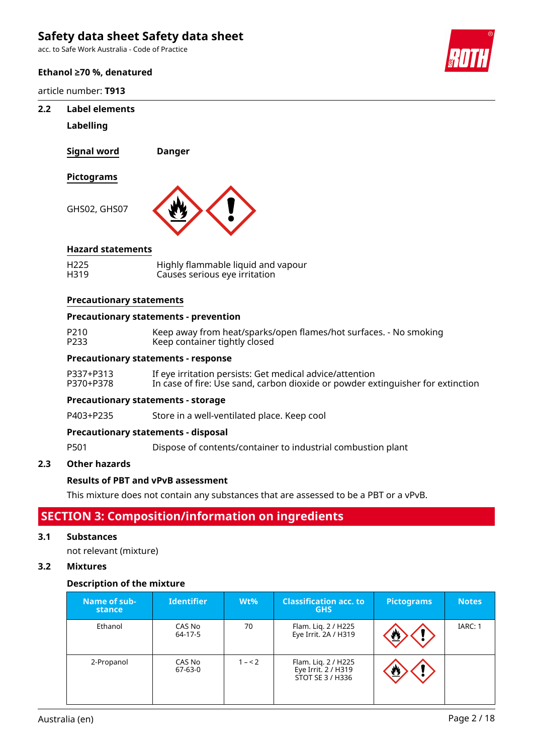acc. to Safe Work Australia - Code of Practice

#### **Ethanol ≥70 %, denatured**

article number: **T913**

#### **2.2 Label elements**

#### **Labelling**

**Signal word Danger**

#### **Pictograms**

GHS02, GHS07



#### **Hazard statements**

| H <sub>225</sub> | Highly flammable liquid and vapour |
|------------------|------------------------------------|
| H319             | Causes serious eye irritation      |

#### **Precautionary statements**

#### **Precautionary statements - prevention**

P210 Keep away from heat/sparks/open flames/hot surfaces. - No smoking<br>P233 Keep container tightly closed Keep container tightly closed

#### **Precautionary statements - response**

| P337+P313 | If eye irritation persists: Get medical advice/attention                        |
|-----------|---------------------------------------------------------------------------------|
| P370+P378 | In case of fire: Use sand, carbon dioxide or powder extinguisher for extinction |

#### **Precautionary statements - storage**

P403+P235 Store in a well-ventilated place. Keep cool

#### **Precautionary statements - disposal**

P501 Dispose of contents/container to industrial combustion plant

#### **2.3 Other hazards**

#### **Results of PBT and vPvB assessment**

This mixture does not contain any substances that are assessed to be a PBT or a vPvB.

### **SECTION 3: Composition/information on ingredients**

#### **3.1 Substances**

not relevant (mixture)

#### **3.2 Mixtures**

#### **Description of the mixture**

| Name of sub-<br>stance | <b>Identifier</b> | $Wt\%$  | <b>Classification acc. to</b><br><b>GHS</b>                    | <b>Pictograms</b> | <b>Notes</b> |
|------------------------|-------------------|---------|----------------------------------------------------------------|-------------------|--------------|
| Ethanol                | CAS No<br>64-17-5 | 70      | Flam. Liq. 2 / H225<br>Eye Irrit. 2A / H319                    | 些                 | IARC: 1      |
| 2-Propanol             | CAS No<br>67-63-0 | $1 - 2$ | Flam. Lig. 2 / H225<br>Eye Irrit. 2 / H319<br>STOT SE 3 / H336 | ₾                 |              |

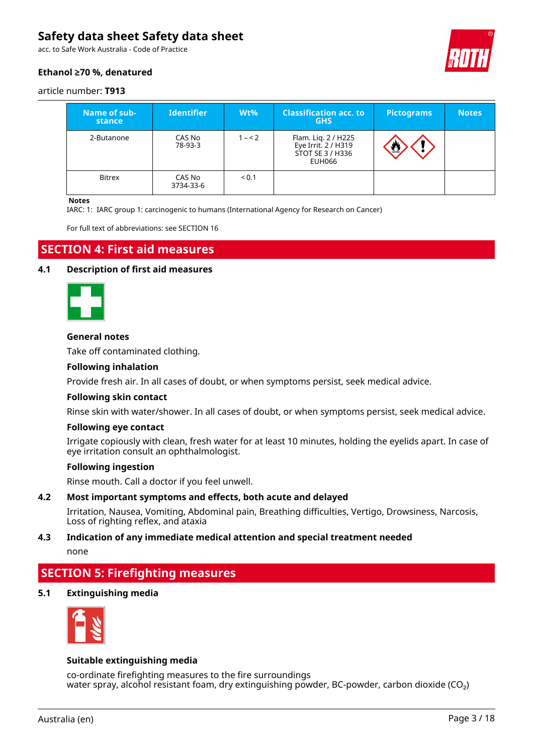acc. to Safe Work Australia - Code of Practice

### **Ethanol ≥70 %, denatured**



#### article number: **T913**

| Name of sub-<br>stance | <b>Identifier</b>   | $Wt\%$  | <b>Classification acc. to</b><br><b>GHS</b>                              | <b>Pictograms</b> | <b>Notes</b> |
|------------------------|---------------------|---------|--------------------------------------------------------------------------|-------------------|--------------|
| 2-Butanone             | CAS No<br>78-93-3   | $1 - 2$ | Flam. Lig. 2 / H225<br>Eye Irrit. 2 / H319<br>STOT SE 3 / H336<br>EUH066 |                   |              |
| <b>Bitrex</b>          | CAS No<br>3734-33-6 | < 0.1   |                                                                          |                   |              |

#### **Notes**

IARC: 1: IARC group 1: carcinogenic to humans (International Agency for Research on Cancer)

For full text of abbreviations: see SECTION 16

### **SECTION 4: First aid measures**

#### **4.1 Description of first aid measures**



#### **General notes**

Take off contaminated clothing.

#### **Following inhalation**

Provide fresh air. In all cases of doubt, or when symptoms persist, seek medical advice.

#### **Following skin contact**

Rinse skin with water/shower. In all cases of doubt, or when symptoms persist, seek medical advice.

#### **Following eye contact**

Irrigate copiously with clean, fresh water for at least 10 minutes, holding the eyelids apart. In case of eye irritation consult an ophthalmologist.

#### **Following ingestion**

Rinse mouth. Call a doctor if you feel unwell.

#### **4.2 Most important symptoms and effects, both acute and delayed**

Irritation, Nausea, Vomiting, Abdominal pain, Breathing difficulties, Vertigo, Drowsiness, Narcosis, Loss of righting reflex, and ataxia

# **4.3 Indication of any immediate medical attention and special treatment needed**

none

### **SECTION 5: Firefighting measures**

#### **5.1 Extinguishing media**



#### **Suitable extinguishing media**

co-ordinate firefighting measures to the fire surroundings water spray, alcohol resistant foam, dry extinguishing powder, BC-powder, carbon dioxide ( $CO<sub>2</sub>$ )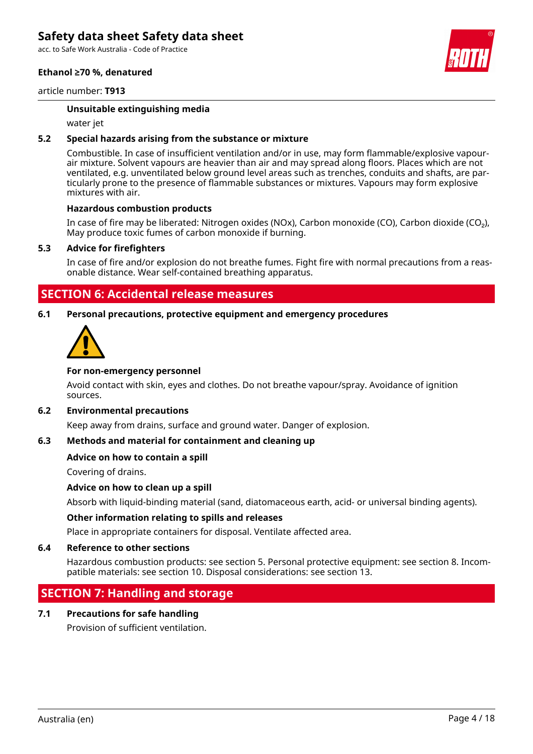acc. to Safe Work Australia - Code of Practice

#### **Ethanol ≥70 %, denatured**



#### article number: **T913**

#### **Unsuitable extinguishing media**

water jet

#### **5.2 Special hazards arising from the substance or mixture**

Combustible. In case of insufficient ventilation and/or in use, may form flammable/explosive vapourair mixture. Solvent vapours are heavier than air and may spread along floors. Places which are not ventilated, e.g. unventilated below ground level areas such as trenches, conduits and shafts, are particularly prone to the presence of flammable substances or mixtures. Vapours may form explosive mixtures with air.

#### **Hazardous combustion products**

In case of fire may be liberated: Nitrogen oxides (NOx), Carbon monoxide (CO), Carbon dioxide (CO₂), May produce toxic fumes of carbon monoxide if burning.

#### **5.3 Advice for firefighters**

In case of fire and/or explosion do not breathe fumes. Fight fire with normal precautions from a reasonable distance. Wear self-contained breathing apparatus.

### **SECTION 6: Accidental release measures**

#### **6.1 Personal precautions, protective equipment and emergency procedures**



#### **For non-emergency personnel**

Avoid contact with skin, eyes and clothes. Do not breathe vapour/spray. Avoidance of ignition sources.

#### **6.2 Environmental precautions**

Keep away from drains, surface and ground water. Danger of explosion.

#### **6.3 Methods and material for containment and cleaning up**

#### **Advice on how to contain a spill**

Covering of drains.

#### **Advice on how to clean up a spill**

Absorb with liquid-binding material (sand, diatomaceous earth, acid- or universal binding agents).

#### **Other information relating to spills and releases**

Place in appropriate containers for disposal. Ventilate affected area.

#### **6.4 Reference to other sections**

Hazardous combustion products: see section 5. Personal protective equipment: see section 8. Incompatible materials: see section 10. Disposal considerations: see section 13.

### **SECTION 7: Handling and storage**

#### **7.1 Precautions for safe handling**

Provision of sufficient ventilation.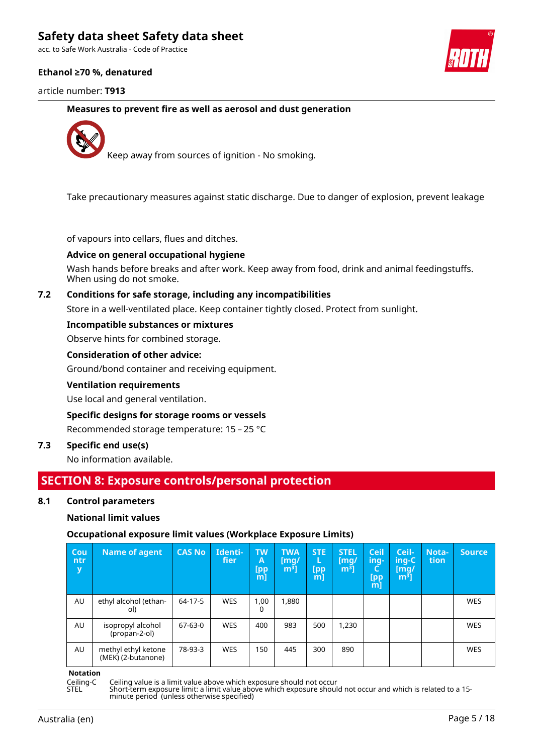acc. to Safe Work Australia - Code of Practice

#### **Ethanol ≥70 %, denatured**

article number: **T913**



**Measures to prevent fire as well as aerosol and dust generation**



Keep away from sources of ignition - No smoking.

Take precautionary measures against static discharge. Due to danger of explosion, prevent leakage

of vapours into cellars, flues and ditches.

#### **Advice on general occupational hygiene**

Wash hands before breaks and after work. Keep away from food, drink and animal feedingstuffs. When using do not smoke.

#### **7.2 Conditions for safe storage, including any incompatibilities**

Store in a well-ventilated place. Keep container tightly closed. Protect from sunlight.

#### **Incompatible substances or mixtures**

Observe hints for combined storage.

#### **Consideration of other advice:**

Ground/bond container and receiving equipment.

#### **Ventilation requirements**

Use local and general ventilation.

#### **Specific designs for storage rooms or vessels**

Recommended storage temperature: 15 – 25 °C

### **7.3 Specific end use(s)**

No information available.

### **SECTION 8: Exposure controls/personal protection**

#### **8.1 Control parameters**

#### **National limit values**

#### **Occupational exposure limit values (Workplace Exposure Limits)**

| Cou<br>ntr<br>y | <b>Name of agent</b>                      | <b>CAS No</b> | Identi-<br>fier | <b>TW</b><br>Α<br>[pp<br>$m$ ] | <b>TWA</b><br>[mq/<br>m <sup>3</sup> | <b>STE</b><br>[pp<br>m] | <b>STEL</b><br>[mq/<br>m <sup>3</sup> | <b>Ceil</b><br>ing-<br><b>[pp</b><br>m] | Ceil-<br>ing-C<br>[mg/<br>$\mathsf{m}^3$ | Nota-<br>tion | <b>Source</b> |
|-----------------|-------------------------------------------|---------------|-----------------|--------------------------------|--------------------------------------|-------------------------|---------------------------------------|-----------------------------------------|------------------------------------------|---------------|---------------|
| AU              | ethyl alcohol (ethan-<br>ol)              | 64-17-5       | <b>WES</b>      | 1,00<br>0                      | 1,880                                |                         |                                       |                                         |                                          |               | <b>WES</b>    |
| AU              | isopropyl alcohol<br>(propan-2-ol)        | $67-63-0$     | <b>WES</b>      | 400                            | 983                                  | 500                     | 1,230                                 |                                         |                                          |               | <b>WES</b>    |
| AU              | methyl ethyl ketone<br>(MEK) (2-butanone) | 78-93-3       | <b>WES</b>      | 150                            | 445                                  | 300                     | 890                                   |                                         |                                          |               | <b>WES</b>    |

**Notation**

Ceiling-C Ceiling value is a limit value above which exposure should not occur

STEL Short-term exposure limit: a limit value above which exposure should not occur and which is related to a 15 minute period (unless otherwise specified)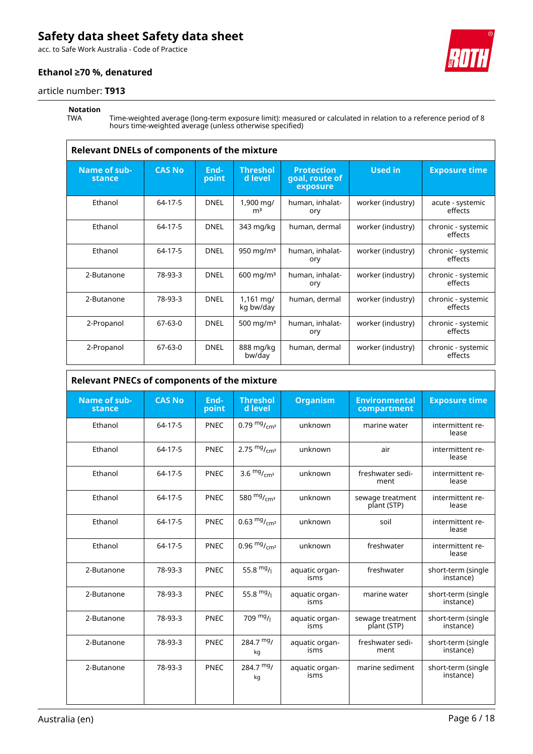acc. to Safe Work Australia - Code of Practice

#### **Ethanol ≥70 %, denatured**



# **Notation**

 $\overline{1}$ 

TWA Time-weighted average (long-term exposure limit): measured or calculated in relation to a reference period of 8 hours time-weighted average (unless otherwise specified)

| <b>Relevant DNELs of components of the mixture</b> |               |               |                             |                                                 |                   |                               |
|----------------------------------------------------|---------------|---------------|-----------------------------|-------------------------------------------------|-------------------|-------------------------------|
| Name of sub-<br>stance                             | <b>CAS No</b> | End-<br>point | <b>Threshol</b><br>d level  | <b>Protection</b><br>goal, route of<br>exposure | <b>Used in</b>    | <b>Exposure time</b>          |
| Ethanol                                            | 64-17-5       | <b>DNEL</b>   | 1,900 mg/<br>m <sup>3</sup> | human, inhalat-<br>ory                          | worker (industry) | acute - systemic<br>effects   |
| Ethanol                                            | 64-17-5       | <b>DNEL</b>   | 343 mg/kg                   | human, dermal                                   | worker (industry) | chronic - systemic<br>effects |
| Ethanol                                            | 64-17-5       | <b>DNEL</b>   | 950 mg/m $3$                | human, inhalat-<br>ory                          | worker (industry) | chronic - systemic<br>effects |
| 2-Butanone                                         | 78-93-3       | <b>DNEL</b>   | $600$ mg/m <sup>3</sup>     | human, inhalat-<br>ory                          | worker (industry) | chronic - systemic<br>effects |
| 2-Butanone                                         | 78-93-3       | <b>DNEL</b>   | 1,161 mg/<br>kg bw/day      | human, dermal                                   | worker (industry) | chronic - systemic<br>effects |
| 2-Propanol                                         | 67-63-0       | <b>DNEL</b>   | 500 mg/m $3$                | human, inhalat-<br>ory                          | worker (industry) | chronic - systemic<br>effects |
| 2-Propanol                                         | $67 - 63 - 0$ | <b>DNEL</b>   | 888 mg/kg<br>bw/day         | human, dermal                                   | worker (industry) | chronic - systemic<br>effects |

#### **Relevant PNECs of components of the mixture**

| <b>Name of sub-</b><br>stance | <b>CAS No</b> | End-<br>point | <b>Threshol</b><br>d level | <b>Organism</b>        | <b>Environmental</b><br>compartment | <b>Exposure time</b>            |
|-------------------------------|---------------|---------------|----------------------------|------------------------|-------------------------------------|---------------------------------|
| Ethanol                       | 64-17-5       | <b>PNEC</b>   | 0.79 $mg/m3$               | unknown                | marine water                        | intermittent re-<br>lease       |
| Ethanol                       | 64-17-5       | PNEC          | 2.75 $mg/mcm3$             | unknown                | air                                 | intermittent re-<br>lease       |
| Ethanol                       | 64-17-5       | <b>PNEC</b>   | 3.6 $mg/m1cm3$             | unknown                | freshwater sedi-<br>ment            | intermittent re-<br>lease       |
| Ethanol                       | 64-17-5       | <b>PNEC</b>   | 580 $mg/m2$                | unknown                | sewage treatment<br>plant (STP)     | intermittent re-<br>lease       |
| Ethanol                       | 64-17-5       | PNEC          | 0.63 $mg/m1cm3$            | unknown                | soil                                | intermittent re-<br>lease       |
| Ethanol                       | 64-17-5       | <b>PNEC</b>   | 0.96 $mg/m1cm3$            | unknown                | freshwater                          | intermittent re-<br>lease       |
| 2-Butanone                    | 78-93-3       | PNEC          | 55.8 $mg/1$                | aquatic organ-<br>isms | freshwater                          | short-term (single<br>instance) |
| 2-Butanone                    | 78-93-3       | PNEC          | 55.8 $mg/$                 | aquatic organ-<br>isms | marine water                        | short-term (single<br>instance) |
| 2-Butanone                    | 78-93-3       | <b>PNEC</b>   | 709 $mg/1$                 | aquatic organ-<br>isms | sewage treatment<br>plant (STP)     | short-term (single<br>instance) |
| 2-Butanone                    | 78-93-3       | <b>PNEC</b>   | $284.7 \frac{mg}{m}$<br>kg | aquatic organ-<br>isms | freshwater sedi-<br>ment            | short-term (single<br>instance) |
| 2-Butanone                    | 78-93-3       | <b>PNEC</b>   | $284.7 \frac{mg}{m}$<br>kg | aquatic organ-<br>isms | marine sediment                     | short-term (single<br>instance) |





٦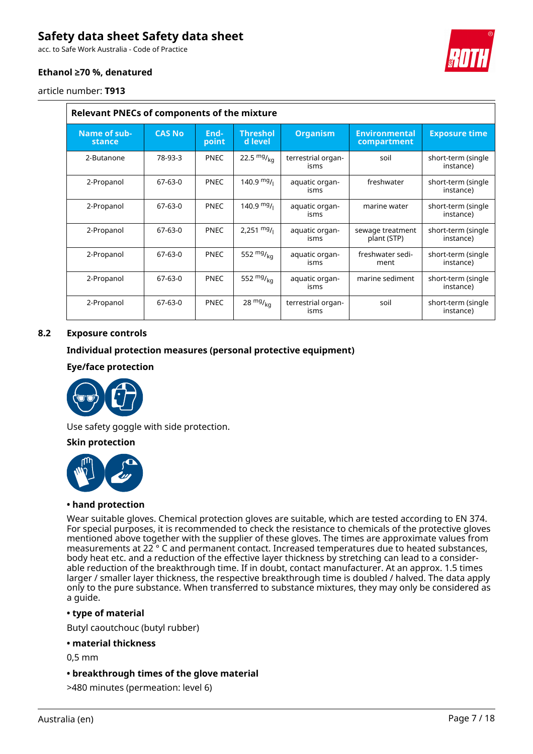acc. to Safe Work Australia - Code of Practice

#### **Ethanol ≥70 %, denatured**

article number: **T913**

 $\overline{\phantom{0}}$ 

| <b>Relevant PNECs of components of the mixture</b> |               |               |                            |                            |                                     |                                 |
|----------------------------------------------------|---------------|---------------|----------------------------|----------------------------|-------------------------------------|---------------------------------|
| Name of sub-<br>stance                             | <b>CAS No</b> | End-<br>point | <b>Threshol</b><br>d level | <b>Organism</b>            | <b>Environmental</b><br>compartment | <b>Exposure time</b>            |
| 2-Butanone                                         | 78-93-3       | <b>PNEC</b>   | 22.5 $mg/kq$               | terrestrial organ-<br>isms | soil                                | short-term (single<br>instance) |
| 2-Propanol                                         | $67-63-0$     | <b>PNEC</b>   | 140.9 $mg/1$               | aquatic organ-<br>isms     | freshwater                          | short-term (single<br>instance) |
| 2-Propanol                                         | $67-63-0$     | <b>PNEC</b>   | $140.9$ mg/ <sub>1</sub>   | aquatic organ-<br>isms     | marine water                        | short-term (single<br>instance) |
| 2-Propanol                                         | 67-63-0       | <b>PNEC</b>   | $2,251 \frac{mg}{l}$       | aquatic organ-<br>isms     | sewage treatment<br>plant (STP)     | short-term (single<br>instance) |
| 2-Propanol                                         | $67-63-0$     | <b>PNEC</b>   | 552 $mg/_{ka}$             | aquatic organ-<br>isms     | freshwater sedi-<br>ment            | short-term (single<br>instance) |
| 2-Propanol                                         | $67-63-0$     | <b>PNEC</b>   | 552 $mg/_{ka}$             | aquatic organ-<br>isms     | marine sediment                     | short-term (single<br>instance) |
| 2-Propanol                                         | 67-63-0       | <b>PNEC</b>   | $28 \frac{mg}{kg}$         | terrestrial organ-<br>isms | soil                                | short-term (single<br>instance) |

#### **8.2 Exposure controls**

#### **Individual protection measures (personal protective equipment)**

#### **Eye/face protection**



Use safety goggle with side protection.

#### **Skin protection**



#### **• hand protection**

Wear suitable gloves. Chemical protection gloves are suitable, which are tested according to EN 374. For special purposes, it is recommended to check the resistance to chemicals of the protective gloves mentioned above together with the supplier of these gloves. The times are approximate values from measurements at 22 ° C and permanent contact. Increased temperatures due to heated substances, body heat etc. and a reduction of the effective layer thickness by stretching can lead to a considerable reduction of the breakthrough time. If in doubt, contact manufacturer. At an approx. 1.5 times larger / smaller layer thickness, the respective breakthrough time is doubled / halved. The data apply only to the pure substance. When transferred to substance mixtures, they may only be considered as a guide.

#### **• type of material**

Butyl caoutchouc (butyl rubber)

#### **• material thickness**

0,5 mm

#### **• breakthrough times of the glove material**

>480 minutes (permeation: level 6)

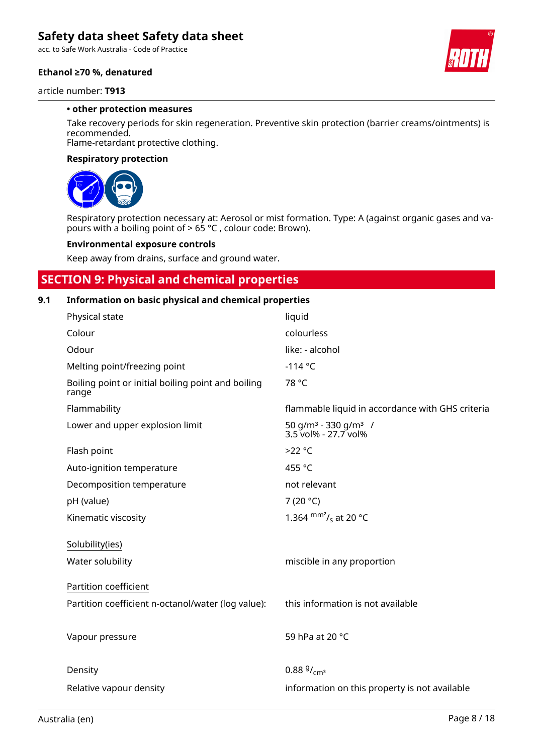acc. to Safe Work Australia - Code of Practice

#### **Ethanol ≥70 %, denatured**



#### article number: **T913**

#### **• other protection measures**

Take recovery periods for skin regeneration. Preventive skin protection (barrier creams/ointments) is recommended.

Flame-retardant protective clothing.

#### **Respiratory protection**



Respiratory protection necessary at: Aerosol or mist formation. Type: A (against organic gases and vapours with a boiling point of > 65 °C , colour code: Brown).

#### **Environmental exposure controls**

Keep away from drains, surface and ground water.

### **SECTION 9: Physical and chemical properties**

#### **9.1 Information on basic physical and chemical properties**

| Physical state                                              | liquid                                                               |
|-------------------------------------------------------------|----------------------------------------------------------------------|
| Colour                                                      | colourless                                                           |
| Odour                                                       | like: - alcohol                                                      |
| Melting point/freezing point                                | $-114 °C$                                                            |
| Boiling point or initial boiling point and boiling<br>range | 78 °C                                                                |
| Flammability                                                | flammable liquid in accordance with GHS criteria                     |
| Lower and upper explosion limit                             | 50 g/m <sup>3</sup> - 330 g/m <sup>3</sup> /<br>3.5 vol% - 27.7 vol% |
| Flash point                                                 | $>22^{\circ}C$                                                       |
| Auto-ignition temperature                                   | 455 °C                                                               |
| Decomposition temperature                                   | not relevant                                                         |
| pH (value)                                                  | 7 (20 $^{\circ}$ C)                                                  |
| Kinematic viscosity                                         | 1.364 $\frac{mm^2}{s}$ at 20 °C                                      |
| Solubility(ies)                                             |                                                                      |
| Water solubility                                            | miscible in any proportion                                           |
| Partition coefficient                                       |                                                                      |
| Partition coefficient n-octanol/water (log value):          | this information is not available                                    |
|                                                             |                                                                      |
| Vapour pressure                                             | 59 hPa at 20 °C                                                      |
|                                                             |                                                                      |
| Density                                                     | $0.88\frac{9}{\text{cm}^3}$                                          |
| Relative vapour density                                     | information on this property is not available                        |
|                                                             |                                                                      |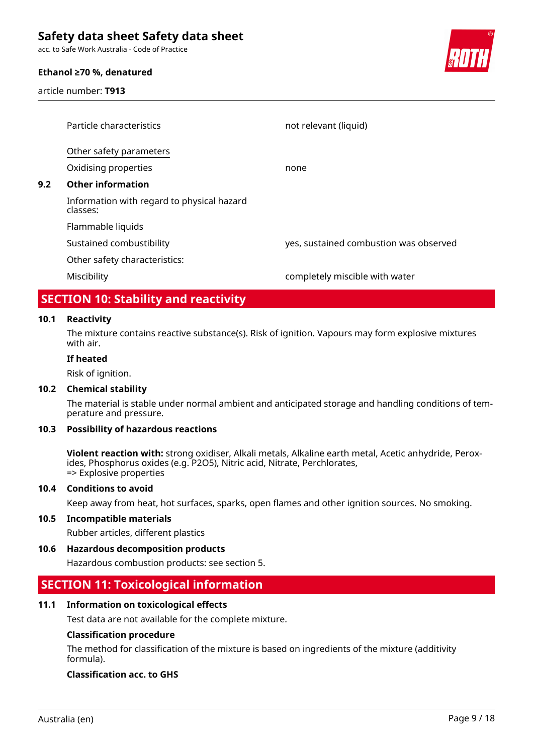acc. to Safe Work Australia - Code of Practice

#### **Ethanol ≥70 %, denatured**

article number: **T913**



| Particle characteristics                               | not relevant (liquid)                  |
|--------------------------------------------------------|----------------------------------------|
| Other safety parameters                                |                                        |
| Oxidising properties                                   | none                                   |
| <b>Other information</b>                               |                                        |
| Information with regard to physical hazard<br>classes: |                                        |
| Flammable liquids                                      |                                        |
| Sustained combustibility                               | yes, sustained combustion was observed |
| Other safety characteristics:                          |                                        |
| Miscibility                                            | completely miscible with water         |
|                                                        |                                        |

### **SECTION 10: Stability and reactivity**

#### **10.1 Reactivity**

The mixture contains reactive substance(s). Risk of ignition. Vapours may form explosive mixtures with air.

#### **If heated**

Risk of ignition.

#### **10.2 Chemical stability**

The material is stable under normal ambient and anticipated storage and handling conditions of temperature and pressure.

#### **10.3 Possibility of hazardous reactions**

**Violent reaction with:** strong oxidiser, Alkali metals, Alkaline earth metal, Acetic anhydride, Peroxides, Phosphorus oxides (e.g. P2O5), Nitric acid, Nitrate, Perchlorates, => Explosive properties

#### **10.4 Conditions to avoid**

Keep away from heat, hot surfaces, sparks, open flames and other ignition sources. No smoking.

#### **10.5 Incompatible materials**

Rubber articles, different plastics

#### **10.6 Hazardous decomposition products**

Hazardous combustion products: see section 5.

### **SECTION 11: Toxicological information**

#### **11.1 Information on toxicological effects**

Test data are not available for the complete mixture.

#### **Classification procedure**

The method for classification of the mixture is based on ingredients of the mixture (additivity formula).

#### **Classification acc. to GHS**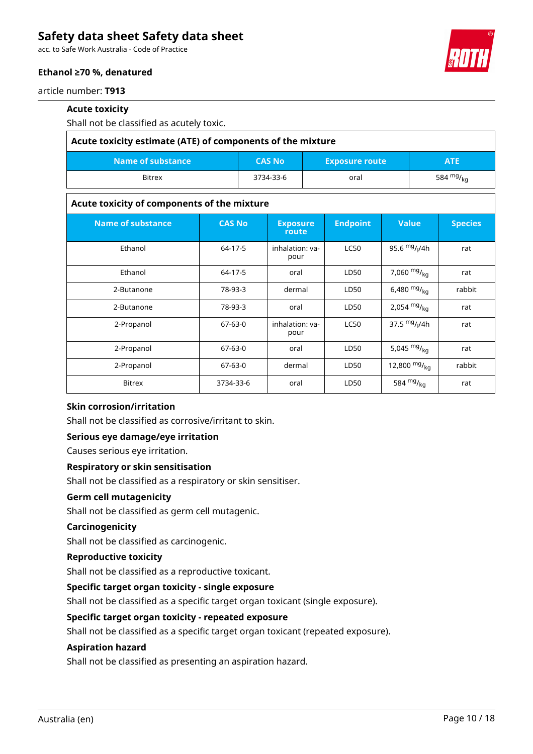acc. to Safe Work Australia - Code of Practice



### **Ethanol ≥70 %, denatured**

article number: **T913**

#### **Acute toxicity**

Shall not be classified as acutely toxic.

| Acute toxicity estimate (ATE) of components of the mixture                |           |      |             |  |  |  |
|---------------------------------------------------------------------------|-----------|------|-------------|--|--|--|
| Name of substance<br><b>CAS No</b><br><b>Exposure route</b><br><b>ATE</b> |           |      |             |  |  |  |
| <b>Bitrex</b>                                                             | 3734-33-6 | oral | 584 $mg/mg$ |  |  |  |

#### **Acute toxicity of components of the mixture**

| <b>Name of substance</b> | <b>CAS No</b> | <b>Exposure</b><br>route | <b>Endpoint</b> | <b>Value</b>     | <b>Species</b> |
|--------------------------|---------------|--------------------------|-----------------|------------------|----------------|
| Ethanol                  | 64-17-5       | inhalation: va-<br>pour  | <b>LC50</b>     | 95.6 $mg/1/4h$   | rat            |
| Ethanol                  | 64-17-5       | oral                     | LD50            | 7,060 $mg/_{kq}$ | rat            |
| 2-Butanone               | 78-93-3       | dermal                   | LD50            | 6,480 $mg/_{kq}$ | rabbit         |
| 2-Butanone               | 78-93-3       | oral                     | LD50            | 2,054 $mg/kq$    | rat            |
| 2-Propanol               | $67-63-0$     | inhalation: va-<br>pour  | <b>LC50</b>     | 37.5 $mg/1/4h$   | rat            |
| 2-Propanol               | $67-63-0$     | oral                     | LD50            | 5,045 $mg/kq$    | rat            |
| 2-Propanol               | 67-63-0       | dermal                   | LD50            | 12,800 $mg/kq$   | rabbit         |
| <b>Bitrex</b>            | 3734-33-6     | oral                     | LD50            | 584 $mg/_{kq}$   | rat            |

### **Skin corrosion/irritation**

Shall not be classified as corrosive/irritant to skin.

#### **Serious eye damage/eye irritation**

Causes serious eye irritation.

#### **Respiratory or skin sensitisation**

Shall not be classified as a respiratory or skin sensitiser.

#### **Germ cell mutagenicity**

Shall not be classified as germ cell mutagenic.

#### **Carcinogenicity**

Shall not be classified as carcinogenic.

#### **Reproductive toxicity**

Shall not be classified as a reproductive toxicant.

#### **Specific target organ toxicity - single exposure**

Shall not be classified as a specific target organ toxicant (single exposure).

#### **Specific target organ toxicity - repeated exposure**

Shall not be classified as a specific target organ toxicant (repeated exposure).

#### **Aspiration hazard**

Shall not be classified as presenting an aspiration hazard.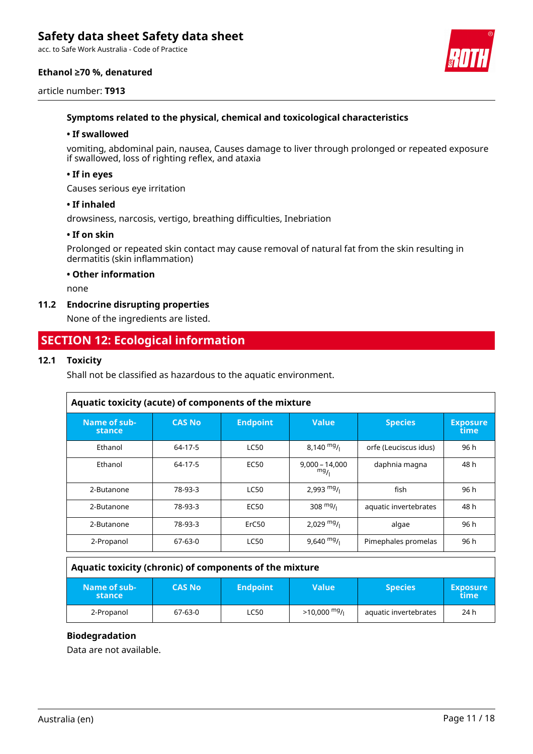acc. to Safe Work Australia - Code of Practice

#### **Ethanol ≥70 %, denatured**





#### **Symptoms related to the physical, chemical and toxicological characteristics**

#### **• If swallowed**

vomiting, abdominal pain, nausea, Causes damage to liver through prolonged or repeated exposure if swallowed, loss of righting reflex, and ataxia

#### **• If in eyes**

Causes serious eye irritation

#### **• If inhaled**

drowsiness, narcosis, vertigo, breathing difficulties, Inebriation

#### **• If on skin**

Prolonged or repeated skin contact may cause removal of natural fat from the skin resulting in dermatitis (skin inflammation)

#### **• Other information**

none

#### **11.2 Endocrine disrupting properties**

None of the ingredients are listed.

### **SECTION 12: Ecological information**

#### **12.1 Toxicity**

Shall not be classified as hazardous to the aquatic environment.

| Aquatic toxicity (acute) of components of the mixture |                |                  |                         |                       |                         |  |  |  |
|-------------------------------------------------------|----------------|------------------|-------------------------|-----------------------|-------------------------|--|--|--|
| Name of sub-<br>stance                                | <b>CAS No.</b> | <b>Endpoint</b>  | <b>Value</b>            | <b>Species</b>        | <b>Exposure</b><br>time |  |  |  |
| Ethanol                                               | 64-17-5        | <b>LC50</b>      | $8,140 \frac{mg}{l}$    | orfe (Leuciscus idus) | 96 h                    |  |  |  |
| Ethanol                                               | 64-17-5        | <b>EC50</b>      | $9.000 - 14.000$<br>mg/ | daphnia magna         | 48 h                    |  |  |  |
| 2-Butanone                                            | 78-93-3        | <b>LC50</b>      | 2,993 $mg/$             | fish                  | 96 h                    |  |  |  |
| 2-Butanone                                            | 78-93-3        | EC <sub>50</sub> | 308 $mg/1$              | aquatic invertebrates | 48 h                    |  |  |  |
| 2-Butanone                                            | 78-93-3        | ErC50            | 2,029 $mg/$             | algae                 | 96 h                    |  |  |  |
| 2-Propanol                                            | 67-63-0        | <b>LC50</b>      | $9,640$ mg/             | Pimephales promelas   | 96 h                    |  |  |  |

#### **Aquatic toxicity (chronic) of components of the mixture**

| Name of sub-<br>stance | <b>CAS No</b> | <b>Endpoint</b> | Value         | <b>Species</b>        | <b>Exposure</b><br>time |
|------------------------|---------------|-----------------|---------------|-----------------------|-------------------------|
| 2-Propanol             | 67-63-0       | <b>LC50</b>     | $>10,000$ mg/ | aquatic invertebrates | 24 h                    |

#### **Biodegradation**

Data are not available.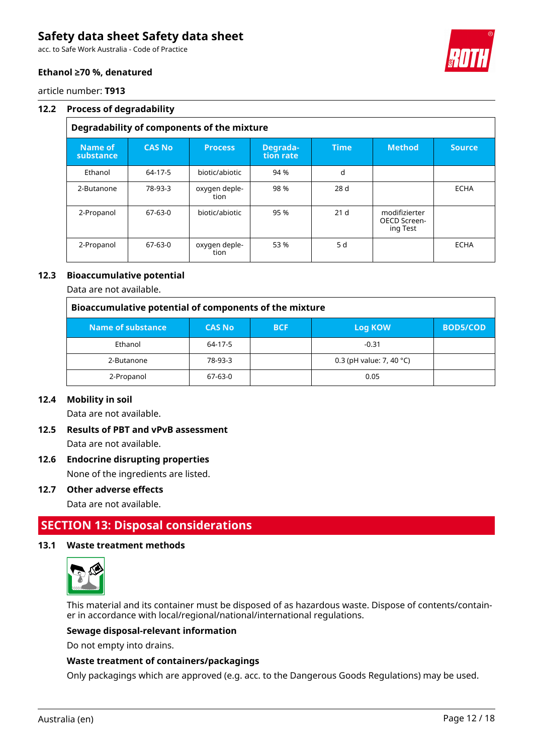acc. to Safe Work Australia - Code of Practice



#### **Ethanol ≥70 %, denatured**

article number: **T913**

#### **12.2 Process of degradability**

### **Degradability of components of the mixture**

| Name of<br>substance | <b>CAS No</b> | <b>Process</b>        | Degrada-<br>tion rate | <b>Time</b>     | <b>Method</b>                             | <b>Source</b> |
|----------------------|---------------|-----------------------|-----------------------|-----------------|-------------------------------------------|---------------|
| Ethanol              | 64-17-5       | biotic/abiotic        | 94 %                  | d               |                                           |               |
| 2-Butanone           | 78-93-3       | oxygen deple-<br>tion | 98 %                  | 28 d            |                                           | <b>ECHA</b>   |
| 2-Propanol           | $67-63-0$     | biotic/abiotic        | 95 %                  | 21 <sub>d</sub> | modifizierter<br>OECD Screen-<br>ing Test |               |
| 2-Propanol           | $67-63-0$     | oxygen deple-<br>tion | 53 %                  | 5 d             |                                           | <b>ECHA</b>   |

#### **12.3 Bioaccumulative potential**

Data are not available.

| Bioaccumulative potential of components of the mixture |               |            |                                    |                 |  |  |  |
|--------------------------------------------------------|---------------|------------|------------------------------------|-----------------|--|--|--|
| Name of substance                                      | <b>CAS No</b> | <b>BCF</b> | Log KOW                            | <b>BOD5/COD</b> |  |  |  |
| Ethanol                                                | 64-17-5       |            | $-0.31$                            |                 |  |  |  |
| 2-Butanone                                             | 78-93-3       |            | 0.3 (pH value: 7, 40 $^{\circ}$ C) |                 |  |  |  |
| 2-Propanol                                             | $67-63-0$     |            | 0.05                               |                 |  |  |  |

#### **12.4 Mobility in soil**

Data are not available.

### **12.5 Results of PBT and vPvB assessment** Data are not available.

**12.6 Endocrine disrupting properties**

None of the ingredients are listed.

#### **12.7 Other adverse effects**

Data are not available.

### **SECTION 13: Disposal considerations**

#### **13.1 Waste treatment methods**



This material and its container must be disposed of as hazardous waste. Dispose of contents/container in accordance with local/regional/national/international regulations.

#### **Sewage disposal-relevant information**

Do not empty into drains.

#### **Waste treatment of containers/packagings**

Only packagings which are approved (e.g. acc. to the Dangerous Goods Regulations) may be used.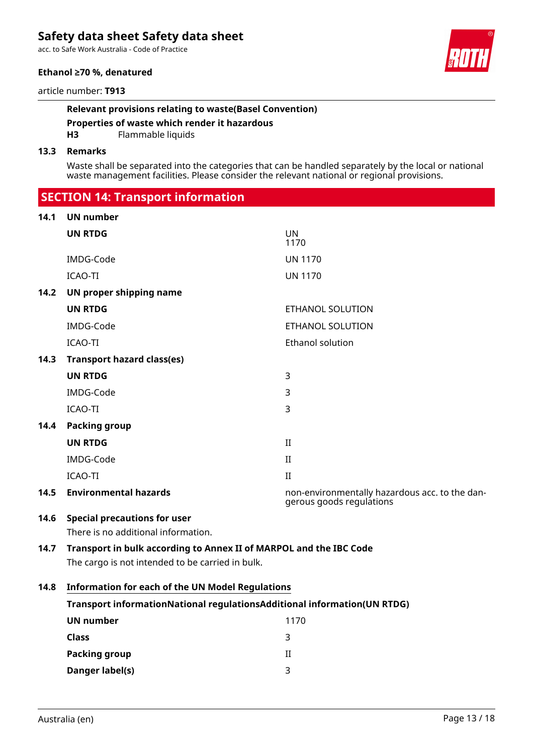acc. to Safe Work Australia - Code of Practice

#### **Ethanol ≥70 %, denatured**

article number: **T913**

#### **Relevant provisions relating to waste(Basel Convention)**

**Properties of waste which render it hazardous**

**H3** Flammable liquids

#### **13.3 Remarks**

Waste shall be separated into the categories that can be handled separately by the local or national waste management facilities. Please consider the relevant national or regional provisions.

 **SECTION 14: Transport information**

#### **14.1 UN number**

| 14. I | UN number                                                                |                                                                            |  |  |  |
|-------|--------------------------------------------------------------------------|----------------------------------------------------------------------------|--|--|--|
|       | <b>UN RTDG</b>                                                           | <b>UN</b><br>1170                                                          |  |  |  |
|       | IMDG-Code                                                                | <b>UN 1170</b>                                                             |  |  |  |
|       | ICAO-TI                                                                  | <b>UN 1170</b>                                                             |  |  |  |
| 14.2  | UN proper shipping name                                                  |                                                                            |  |  |  |
|       | <b>UN RTDG</b>                                                           | ETHANOL SOLUTION                                                           |  |  |  |
|       | IMDG-Code                                                                | ETHANOL SOLUTION                                                           |  |  |  |
|       | ICAO-TI                                                                  | <b>Ethanol solution</b>                                                    |  |  |  |
| 14.3  | <b>Transport hazard class(es)</b>                                        |                                                                            |  |  |  |
|       | <b>UN RTDG</b>                                                           | 3                                                                          |  |  |  |
|       | IMDG-Code                                                                | 3                                                                          |  |  |  |
|       | ICAO-TI                                                                  | 3                                                                          |  |  |  |
| 14.4  | <b>Packing group</b>                                                     |                                                                            |  |  |  |
|       | <b>UN RTDG</b>                                                           | II                                                                         |  |  |  |
|       | IMDG-Code                                                                | $\rm II$                                                                   |  |  |  |
|       | ICAO-TI                                                                  | $\mathbf{H}$                                                               |  |  |  |
| 14.5  | <b>Environmental hazards</b>                                             | non-environmentally hazardous acc. to the dan-<br>gerous goods regulations |  |  |  |
| 14.6  | <b>Special precautions for user</b>                                      |                                                                            |  |  |  |
|       | There is no additional information.                                      |                                                                            |  |  |  |
| 14.7  | Transport in bulk according to Annex II of MARPOL and the IBC Code       |                                                                            |  |  |  |
|       | The cargo is not intended to be carried in bulk.                         |                                                                            |  |  |  |
| 14.8  | <b>Information for each of the UN Model Regulations</b>                  |                                                                            |  |  |  |
|       | Transport informationNational regulationsAdditional information(UN RTDG) |                                                                            |  |  |  |
|       | <b>UN number</b>                                                         | 1170                                                                       |  |  |  |
|       | <b>Class</b>                                                             | 3                                                                          |  |  |  |

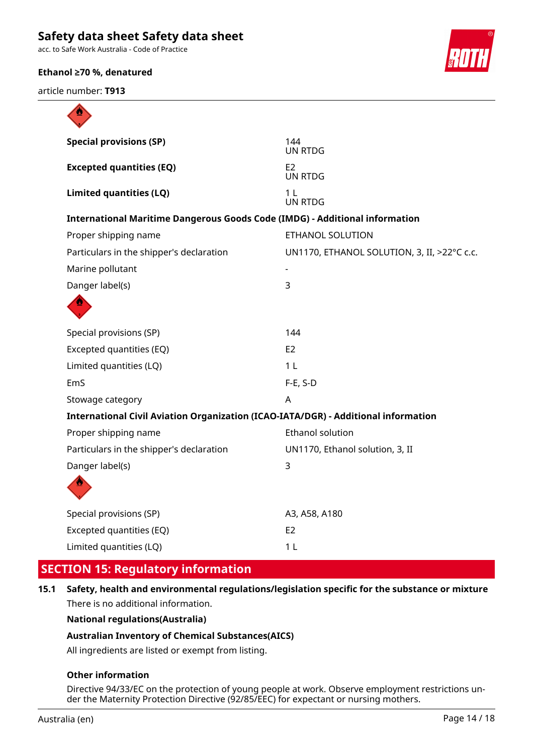acc. to Safe Work Australia - Code of Practice

#### **Ethanol ≥70 %, denatured**

article number: **T913**



| ₩                                                                                  |                                             |
|------------------------------------------------------------------------------------|---------------------------------------------|
| <b>Special provisions (SP)</b>                                                     | 144<br>UN RTDG                              |
| <b>Excepted quantities (EQ)</b>                                                    | E <sub>2</sub><br><b>UN RTDG</b>            |
| <b>Limited quantities (LQ)</b>                                                     | 1 <sub>L</sub><br><b>UN RTDG</b>            |
| <b>International Maritime Dangerous Goods Code (IMDG) - Additional information</b> |                                             |
| Proper shipping name                                                               | ETHANOL SOLUTION                            |
| Particulars in the shipper's declaration                                           | UN1170, ETHANOL SOLUTION, 3, II, >22°C c.c. |
| Marine pollutant                                                                   |                                             |
| Danger label(s)                                                                    | 3                                           |
|                                                                                    |                                             |
| Special provisions (SP)                                                            | 144                                         |
| Excepted quantities (EQ)                                                           | E2                                          |
| Limited quantities (LQ)                                                            | 1 <sub>L</sub>                              |
| EmS                                                                                | $F-E$ , S-D                                 |
| Stowage category                                                                   | A                                           |
| International Civil Aviation Organization (ICAO-IATA/DGR) - Additional information |                                             |
| Proper shipping name                                                               | Ethanol solution                            |
| Particulars in the shipper's declaration                                           | UN1170, Ethanol solution, 3, II             |
| Danger label(s)                                                                    | $\overline{3}$                              |
|                                                                                    |                                             |
| Special provisions (SP)                                                            | A3, A58, A180                               |
| Excepted quantities (EQ)                                                           | E <sub>2</sub>                              |
| Limited quantities (LQ)                                                            | 1 <sub>L</sub>                              |

# **SECTION 15: Regulatory information**

**15.1 Safety, health and environmental regulations/legislation specific for the substance or mixture** There is no additional information.

**National regulations(Australia)**

#### **Australian Inventory of Chemical Substances(AICS)**

All ingredients are listed or exempt from listing.

#### **Other information**

Directive 94/33/EC on the protection of young people at work. Observe employment restrictions under the Maternity Protection Directive (92/85/EEC) for expectant or nursing mothers.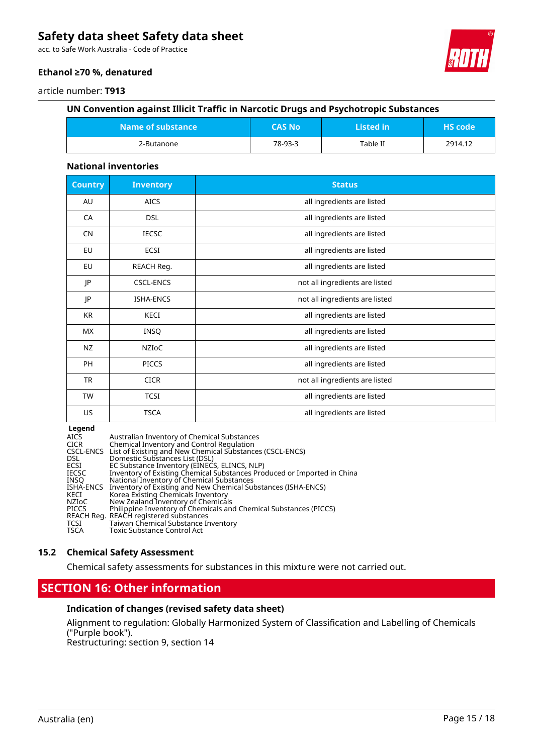acc. to Safe Work Australia - Code of Practice



#### **Ethanol ≥70 %, denatured**

#### article number: **T913**

#### **UN Convention against Illicit Traffic in Narcotic Drugs and Psychotropic Substances**

| $M$ ame of substance $M$ | CAS No' | Listed in | <b>HS</b> code |
|--------------------------|---------|-----------|----------------|
| 2-Butanone               | 78-93-3 | Table II  | 2914.12        |

#### **National inventories**

| <b>Country</b> | <b>Inventory</b> | <b>Status</b>                  |
|----------------|------------------|--------------------------------|
| AU             | <b>AICS</b>      | all ingredients are listed     |
| CA             | <b>DSL</b>       | all ingredients are listed     |
| <b>CN</b>      | <b>IECSC</b>     | all ingredients are listed     |
| EU             | ECSI             | all ingredients are listed     |
| EU             | REACH Reg.       | all ingredients are listed     |
| JP             | <b>CSCL-ENCS</b> | not all ingredients are listed |
| JP             | <b>ISHA-ENCS</b> | not all ingredients are listed |
| <b>KR</b>      | KECI             | all ingredients are listed     |
| <b>MX</b>      | <b>INSQ</b>      | all ingredients are listed     |
| NZ             | <b>NZIOC</b>     | all ingredients are listed     |
| PH             | <b>PICCS</b>     | all ingredients are listed     |
| <b>TR</b>      | <b>CICR</b>      | not all ingredients are listed |
| <b>TW</b>      | <b>TCSI</b>      | all ingredients are listed     |
| US             | <b>TSCA</b>      | all ingredients are listed     |

#### **Legend**

| <b>AICS</b>  | Australian Inventory of Chemical Substances                             |
|--------------|-------------------------------------------------------------------------|
| <b>CICR</b>  | Chemical Inventory and Control Regulation                               |
|              | CSCL-ENCS List of Existing and New Chemical Substances (CSCL-ENCS)      |
| DSL.         | Domestic Substances List (DSL)                                          |
| <b>ECSI</b>  | EC Substance Inventory (EINECS, ELINCS, NLP)                            |
| <b>IECSC</b> | Inventory of Existing Chemical Substances Produced or Imported in China |
| INSO         | National Inventory of Chemical Substances                               |
| ISHA-ENCS    | Inventory of Existing and New Chemical Substances (ISHA-ENCS)           |
| KECI         | Korea Existing Chemicals Inventory                                      |
| NZIoC        | New Zealand Inventory of Chemicals                                      |
| <b>PICCS</b> | Philippine Inventory of Chemicals and Chemical Substances (PICCS)       |
|              | REACH Reg. REACH registered substances                                  |
| TCSI         | Taiwan Chemical Substance Inventory                                     |
| <b>TSCA</b>  | Toxic Substance Control Act                                             |

#### **15.2 Chemical Safety Assessment**

Chemical safety assessments for substances in this mixture were not carried out.

### **SECTION 16: Other information**

#### **Indication of changes (revised safety data sheet)**

Alignment to regulation: Globally Harmonized System of Classification and Labelling of Chemicals ("Purple book").

Restructuring: section 9, section 14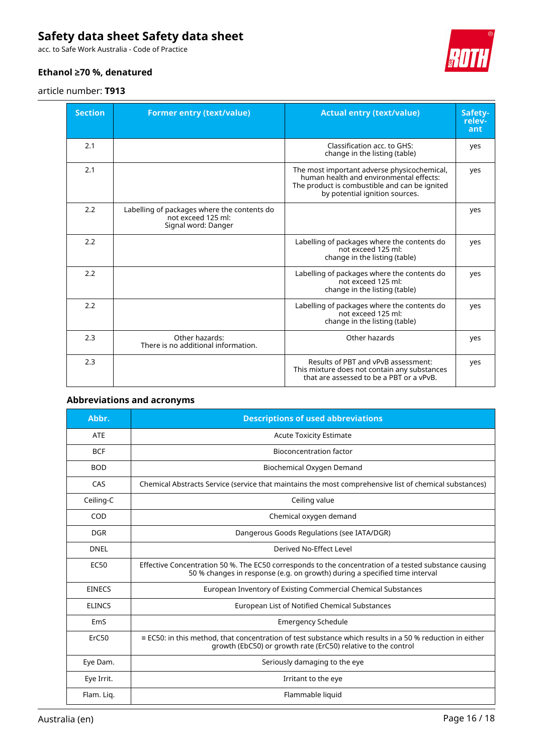acc. to Safe Work Australia - Code of Practice

#### **Ethanol ≥70 %, denatured**

#### article number: **T913**



| <b>Section</b> | <b>Former entry (text/value)</b>                                                         | <b>Actual entry (text/value)</b>                                                                                                                                          | Safety-<br>relev-<br>ant |
|----------------|------------------------------------------------------------------------------------------|---------------------------------------------------------------------------------------------------------------------------------------------------------------------------|--------------------------|
| 2.1            |                                                                                          | Classification acc. to GHS:<br>change in the listing (table)                                                                                                              | yes                      |
| 2.1            |                                                                                          | The most important adverse physicochemical,<br>human health and environmental effects:<br>The product is combustible and can be ignited<br>by potential ignition sources. | yes                      |
| 2.2            | Labelling of packages where the contents do<br>not exceed 125 ml:<br>Signal word: Danger |                                                                                                                                                                           | yes                      |
| 2.2            |                                                                                          | Labelling of packages where the contents do<br>not exceed 125 ml:<br>change in the listing (table)                                                                        | yes                      |
| 2.2            |                                                                                          | Labelling of packages where the contents do<br>not exceed 125 ml:<br>change in the listing (table)                                                                        | yes                      |
| 2.2            |                                                                                          | Labelling of packages where the contents do<br>not exceed 125 ml:<br>change in the listing (table)                                                                        | yes                      |
| 2.3            | Other hazards:<br>There is no additional information.                                    | Other hazards                                                                                                                                                             | yes                      |
| 2.3            |                                                                                          | Results of PBT and vPvB assessment:<br>This mixture does not contain any substances<br>that are assessed to be a PBT or a vPvB.                                           | yes                      |

### **Abbreviations and acronyms**

| Abbr.            | <b>Descriptions of used abbreviations</b>                                                                                                                                           |
|------------------|-------------------------------------------------------------------------------------------------------------------------------------------------------------------------------------|
| <b>ATE</b>       | <b>Acute Toxicity Estimate</b>                                                                                                                                                      |
| <b>BCF</b>       | <b>Bioconcentration factor</b>                                                                                                                                                      |
| <b>BOD</b>       | Biochemical Oxygen Demand                                                                                                                                                           |
| CAS              | Chemical Abstracts Service (service that maintains the most comprehensive list of chemical substances)                                                                              |
| Ceiling-C        | Ceiling value                                                                                                                                                                       |
| COD              | Chemical oxygen demand                                                                                                                                                              |
| <b>DGR</b>       | Dangerous Goods Regulations (see IATA/DGR)                                                                                                                                          |
| <b>DNEL</b>      | Derived No-Effect Level                                                                                                                                                             |
| EC <sub>50</sub> | Effective Concentration 50 %. The EC50 corresponds to the concentration of a tested substance causing<br>50 % changes in response (e.g. on growth) during a specified time interval |
| <b>EINECS</b>    | European Inventory of Existing Commercial Chemical Substances                                                                                                                       |
| <b>ELINCS</b>    | European List of Notified Chemical Substances                                                                                                                                       |
| EmS              | <b>Emergency Schedule</b>                                                                                                                                                           |
| ErC50            | $\equiv$ EC50: in this method, that concentration of test substance which results in a 50 % reduction in either<br>growth (EbC50) or growth rate (ErC50) relative to the control    |
| Eye Dam.         | Seriously damaging to the eye                                                                                                                                                       |
| Eye Irrit.       | Irritant to the eye                                                                                                                                                                 |
| Flam. Lig.       | Flammable liquid                                                                                                                                                                    |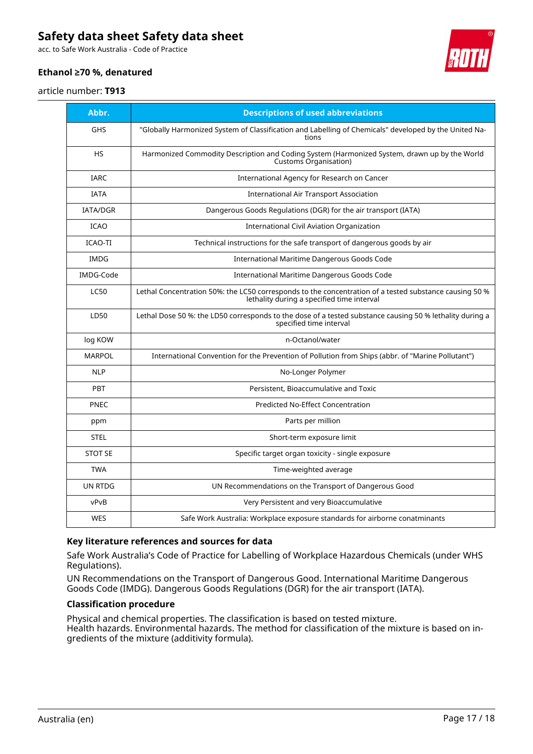acc. to Safe Work Australia - Code of Practice



### **Ethanol ≥70 %, denatured**

#### article number: **T913**

| Abbr.           | <b>Descriptions of used abbreviations</b>                                                                                                            |
|-----------------|------------------------------------------------------------------------------------------------------------------------------------------------------|
| <b>GHS</b>      | "Globally Harmonized System of Classification and Labelling of Chemicals" developed by the United Na-<br>tions                                       |
| <b>HS</b>       | Harmonized Commodity Description and Coding System (Harmonized System, drawn up by the World<br>Customs Organisation)                                |
| <b>IARC</b>     | International Agency for Research on Cancer                                                                                                          |
| <b>IATA</b>     | <b>International Air Transport Association</b>                                                                                                       |
| <b>IATA/DGR</b> | Dangerous Goods Regulations (DGR) for the air transport (IATA)                                                                                       |
| <b>ICAO</b>     | <b>International Civil Aviation Organization</b>                                                                                                     |
| <b>ICAO-TI</b>  | Technical instructions for the safe transport of dangerous goods by air                                                                              |
| <b>IMDG</b>     | International Maritime Dangerous Goods Code                                                                                                          |
| IMDG-Code       | International Maritime Dangerous Goods Code                                                                                                          |
| <b>LC50</b>     | Lethal Concentration 50%: the LC50 corresponds to the concentration of a tested substance causing 50 %<br>lethality during a specified time interval |
| LD50            | Lethal Dose 50 %: the LD50 corresponds to the dose of a tested substance causing 50 % lethality during a<br>specified time interval                  |
| log KOW         | n-Octanol/water                                                                                                                                      |
| <b>MARPOL</b>   | International Convention for the Prevention of Pollution from Ships (abbr. of "Marine Pollutant")                                                    |
| <b>NLP</b>      | No-Longer Polymer                                                                                                                                    |
| <b>PBT</b>      | Persistent, Bioaccumulative and Toxic                                                                                                                |
| PNEC            | <b>Predicted No-Effect Concentration</b>                                                                                                             |
| ppm             | Parts per million                                                                                                                                    |
| <b>STEL</b>     | Short-term exposure limit                                                                                                                            |
| <b>STOT SE</b>  | Specific target organ toxicity - single exposure                                                                                                     |
| <b>TWA</b>      | Time-weighted average                                                                                                                                |
| UN RTDG         | UN Recommendations on the Transport of Dangerous Good                                                                                                |
| vPvB            | Very Persistent and very Bioaccumulative                                                                                                             |
| <b>WES</b>      | Safe Work Australia: Workplace exposure standards for airborne conatminants                                                                          |

#### **Key literature references and sources for data**

Safe Work Australia's Code of Practice for Labelling of Workplace Hazardous Chemicals (under WHS Regulations).

UN Recommendations on the Transport of Dangerous Good. International Maritime Dangerous Goods Code (IMDG). Dangerous Goods Regulations (DGR) for the air transport (IATA).

#### **Classification procedure**

Physical and chemical properties. The classification is based on tested mixture. Health hazards. Environmental hazards. The method for classification of the mixture is based on ingredients of the mixture (additivity formula).